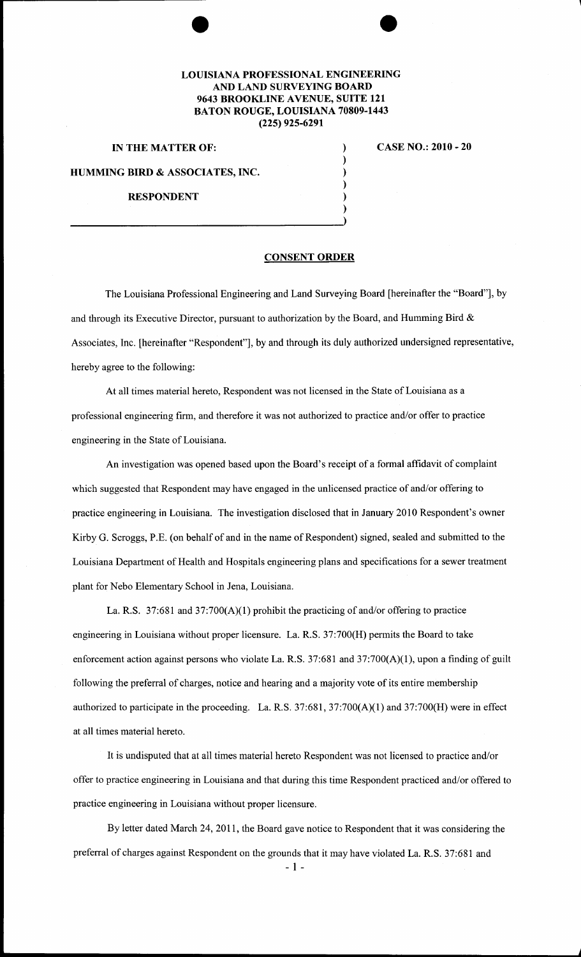# **LOUISIANA PROFESSIONAL ENGINEERING AND LAND SURVEYING BOARD 9643 BROOKLINE A VENUE, SUITE 121 BATON ROUGE, LOUISIANA 70809-1443 (225) 925-6291**

#### **IN THE MATTER OF:**

### **CASE NO.: 2010- 20**

**HUMMING BIRD & ASSOCIATES, INC.** 

# **RESPONDENT**

### **CONSENT ORDER**

) ) ) ) ) )

The Louisiana Professional Engineering and Land Surveying Board [hereinafter the "Board"], by and through its Executive Director, pursuant to authorization by the Board, and Humming Bird  $\&$ Associates, Inc. [hereinafter "Respondent"], by and through its duly authorized undersigned representative, hereby agree to the following:

At all times material hereto, Respondent was not licensed in the State of Louisiana as a professional engineering firm, and therefore it was not authorized to practice and/or offer to practice engineering in the State of Louisiana.

An investigation was opened based upon the Board's receipt of a formal affidavit of complaint which suggested that Respondent may have engaged in the unlicensed practice of and/or offering to practice engineering **in** Louisiana. The investigation disclosed that in January 2010 Respondent's owner Kirby G. Scroggs, P.E. (on behalf of and in the name of Respondent) signed, sealed and submitted to the Louisiana Department of Health and Hospitals engineering plans and specifications for a sewer treatment plant for Nebo Elementary School in Jena, Louisiana.

La. R.S. 37:681 and 37:700(A)(1) prohibit the practicing of and/or offering to practice engineering in Louisiana without proper licensure. La. R.S. 37:700(H) permits the Board to take enforcement action against persons who violate La. R.S. 37:681 and 37:700(A)(1), upon a finding of guilt following the preferral of charges, notice and hearing and a majority vote of its entire membership authorized to participate in the proceeding. La. R.S. 37:681, 37:700(A)(1) and 37:700(H) were in effect at all times material hereto.

It is undisputed that at all times material hereto Respondent was not licensed to practice and/or offer to practice engineering in Louisiana and that during this time Respondent practiced and/or offered to practice engineering in Louisiana without proper licensure.

By letter dated March 24, 2011, the Board gave notice to Respondent that it was considering the preferral of charges against Respondent on the grounds that it may have violated La. R.S. 37:681 and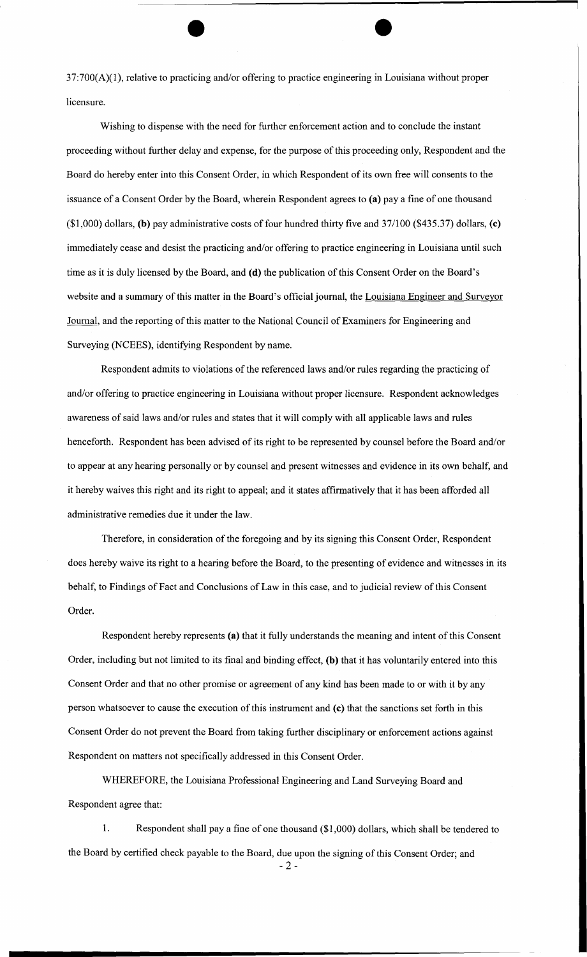37:700(A)(1), relative to practicing and/or offering to practice engineering in Louisiana without proper licensure.

Wishing to dispense with the need for further enforcement action and to conclude the instant proceeding without further delay and expense, for the purpose of this proceeding only, Respondent and the Board do hereby enter into this Consent Order, in which Respondent of its own free will consents to the issuance of a Consent Order by the Board, wherein Respondent agrees to (a) pay a fine of one thousand  $(1,000)$  dollars, (b) pay administrative costs of four hundred thirty five and 37/100 (\$435.37) dollars, (c) immediately cease and desist the practicing and/or offering to practice engineering in Louisiana until such time as it is duly licensed by the Board, and (d) the publication of this Consent Order on the Board's website and a summary of this matter in the Board's official journal, the Louisiana Engineer and Surveyor Journal, and the reporting of this matter to the National Council of Examiners for Engineering and Surveying (NCEES), identifying Respondent by name.

Respondent admits to violations of the referenced laws and/or rules regarding the practicing of and/or offering to practice engineering in Louisiana without proper licensure. Respondent acknowledges awareness of said laws and/or rules and states that it will comply with all applicable laws and rules henceforth. Respondent has been advised of its right to be represented by counsel before the Board and/or to appear at any hearing personally or by counsel and present witnesses and evidence in its own behalf, and it hereby waives this right and its right to appeal; and it states affirmatively that it has been afforded all administrative remedies due it under the law.

Therefore, in consideration of the foregoing and by its signing this Consent Order, Respondent does hereby waive its right to a hearing before the Board, to the presenting of evidence and witnesses in its behalf, to Findings of Fact and Conclusions of Law in this case, and to judicial review of this Consent Order.

Respondent hereby represents (a) that it fully understands the meaning and intent of this Consent Order, including but not limited to its final and binding effect, (b) that it has voluntarily entered into this Consent Order and that no other promise or agreement of any kind has been made to or with it by any person whatsoever to cause the execution of this instrument and (c) that the sanctions set forth in this Consent Order do not prevent the Board from taking further disciplinary or enforcement actions against Respondent on matters not specifically addressed in this Consent Order.

WHEREFORE, the Louisiana Professional Engineering and Land Surveying Board and Respondent agree that:

1. Respondent shall pay a fine of one thousand (\$1 ,000) dollars, which shall be tendered to the Board by certified check payable to the Board, due upon the signing of this Consent Order; and

 $-2-$